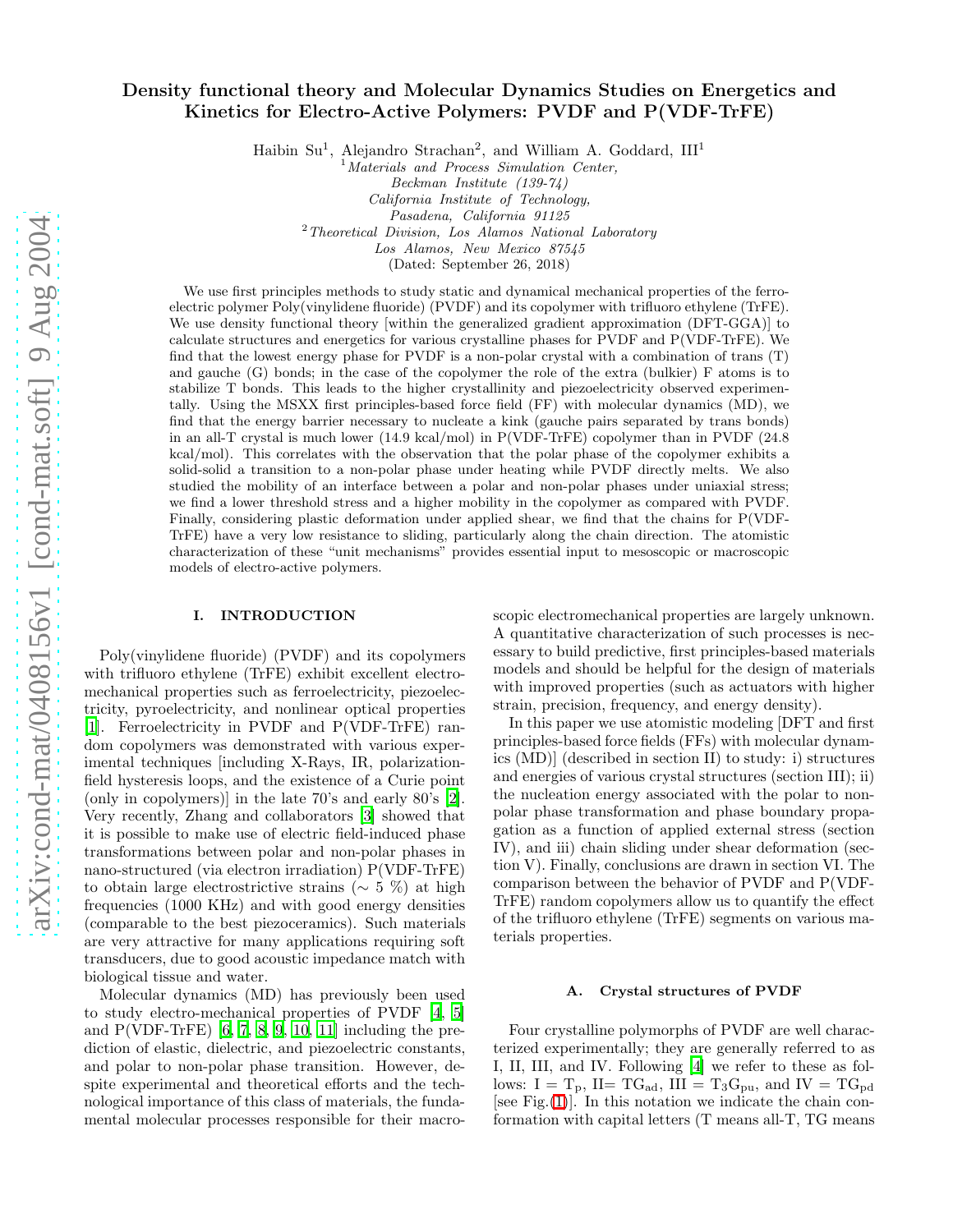# Density functional theory and Molecular Dynamics Studies on Energetics and Kinetics for Electro-Active Polymers: PVDF and P(VDF-TrFE)

Haibin Su<sup>1</sup>, Alejandro Strachan<sup>2</sup>, and William A. Goddard, III<sup>1</sup>

<sup>1</sup>*Materials and Process Simulation Center, Beckman Institute (139-74) California Institute of Technology, Pasadena, California 91125* <sup>2</sup>*Theoretical Division, Los Alamos National Laboratory*

*Los Alamos, New Mexico 87545*

(Dated: September 26, 2018)

We use first principles methods to study static and dynamical mechanical properties of the ferroelectric polymer Poly(vinylidene fluoride) (PVDF) and its copolymer with trifluoro ethylene (TrFE). We use density functional theory [within the generalized gradient approximation (DFT-GGA)] to calculate structures and energetics for various crystalline phases for PVDF and P(VDF-TrFE). We find that the lowest energy phase for PVDF is a non-polar crystal with a combination of trans (T) and gauche (G) bonds; in the case of the copolymer the role of the extra (bulkier) F atoms is to stabilize T bonds. This leads to the higher crystallinity and piezoelectricity observed experimentally. Using the MSXX first principles-based force field (FF) with molecular dynamics (MD), we find that the energy barrier necessary to nucleate a kink (gauche pairs separated by trans bonds) in an all-T crystal is much lower (14.9 kcal/mol) in P(VDF-TrFE) copolymer than in PVDF (24.8 kcal/mol). This correlates with the observation that the polar phase of the copolymer exhibits a solid-solid a transition to a non-polar phase under heating while PVDF directly melts. We also studied the mobility of an interface between a polar and non-polar phases under uniaxial stress; we find a lower threshold stress and a higher mobility in the copolymer as compared with PVDF. Finally, considering plastic deformation under applied shear, we find that the chains for P(VDF-TrFE) have a very low resistance to sliding, particularly along the chain direction. The atomistic characterization of these "unit mechanisms" provides essential input to mesoscopic or macroscopic models of electro-active polymers.

### I. INTRODUCTION

Poly(vinylidene fluoride) (PVDF) and its copolymers with trifluoro ethylene (TrFE) exhibit excellent electromechanical properties such as ferroelectricity, piezoelectricity, pyroelectricity, and nonlinear optical properties [\[1\]](#page-5-0). Ferroelectricity in PVDF and P(VDF-TrFE) random copolymers was demonstrated with various experimental techniques [including X-Rays, IR, polarizationfield hysteresis loops, and the existence of a Curie point (only in copolymers)] in the late 70's and early 80's [\[2\]](#page-5-1). Very recently, Zhang and collaborators [\[3\]](#page-5-2) showed that it is possible to make use of electric field-induced phase transformations between polar and non-polar phases in nano-structured (via electron irradiation) P(VDF-TrFE) to obtain large electrostrictive strains (∼ 5 %) at high frequencies (1000 KHz) and with good energy densities (comparable to the best piezoceramics). Such materials are very attractive for many applications requiring soft transducers, due to good acoustic impedance match with biological tissue and water.

Molecular dynamics (MD) has previously been used to study electro-mechanical properties of PVDF [\[4](#page-5-3), [5](#page-5-4)] and  $P(VDF-TrFE)$  [\[6,](#page-5-5) [7](#page-5-6), [8,](#page-5-7) [9](#page-5-8), [10](#page-5-9), [11\]](#page-5-10) including the prediction of elastic, dielectric, and piezoelectric constants, and polar to non-polar phase transition. However, despite experimental and theoretical efforts and the technological importance of this class of materials, the fundamental molecular processes responsible for their macroscopic electromechanical properties are largely unknown. A quantitative characterization of such processes is necessary to build predictive, first principles-based materials models and should be helpful for the design of materials with improved properties (such as actuators with higher strain, precision, frequency, and energy density).

In this paper we use atomistic modeling [DFT and first principles-based force fields (FFs) with molecular dynamics (MD)] (described in section II) to study: i) structures and energies of various crystal structures (section III); ii) the nucleation energy associated with the polar to nonpolar phase transformation and phase boundary propagation as a function of applied external stress (section IV), and iii) chain sliding under shear deformation (section V). Finally, conclusions are drawn in section VI. The comparison between the behavior of PVDF and P(VDF-TrFE) random copolymers allow us to quantify the effect of the trifluoro ethylene (TrFE) segments on various materials properties.

## A. Crystal structures of PVDF

Four crystalline polymorphs of PVDF are well characterized experimentally; they are generally referred to as I, II, III, and IV. Following [\[4](#page-5-3)] we refer to these as follows:  $I = T_p$ , II= TG<sub>ad</sub>, III = T<sub>3</sub>G<sub>pu</sub>, and IV = TG<sub>pd</sub> [see Fig. $(1)$ ]. In this notation we indicate the chain conformation with capital letters (T means all-T, TG means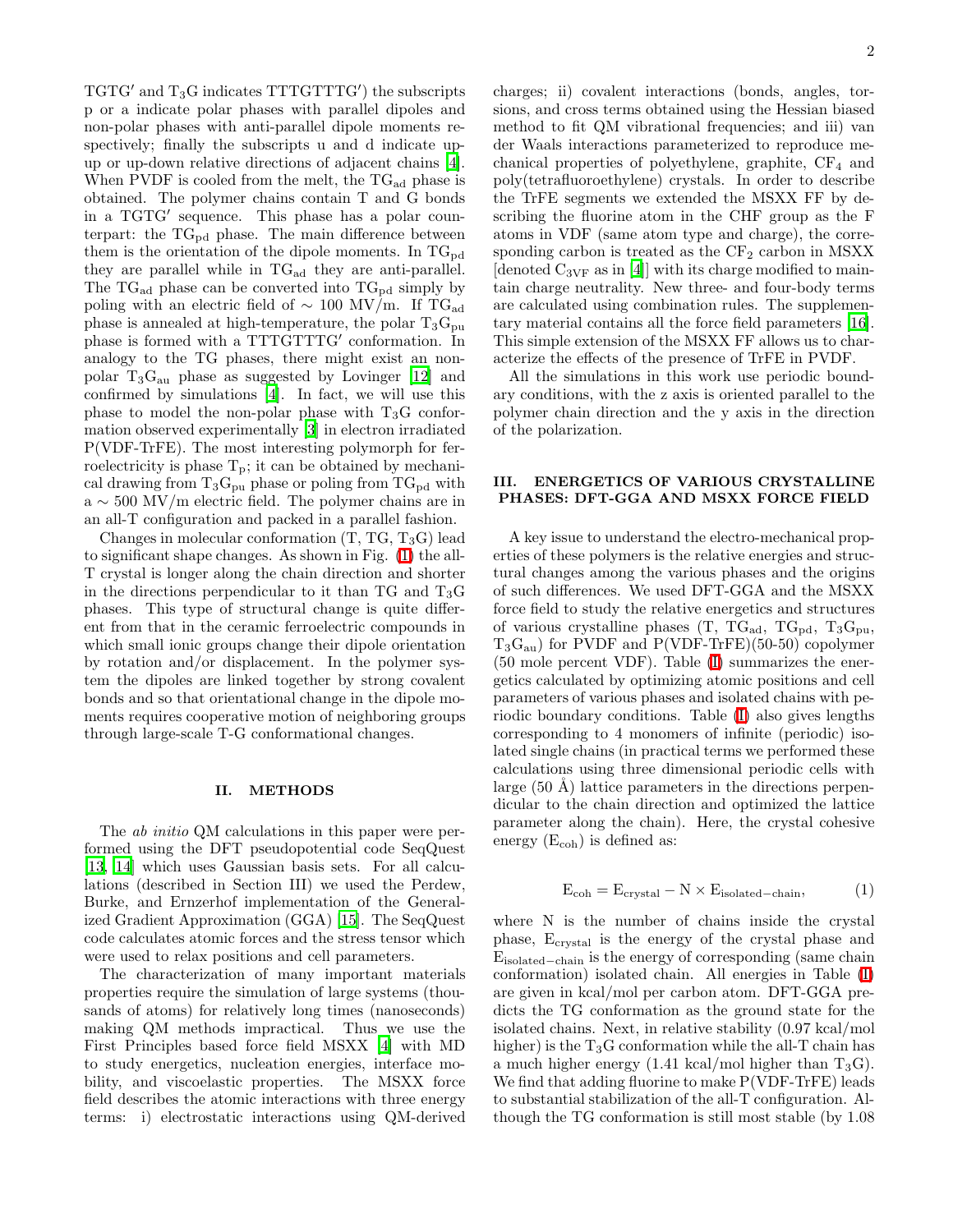TGTG′ and T3G indicates TTTGTTTG′ ) the subscripts p or a indicate polar phases with parallel dipoles and non-polar phases with anti-parallel dipole moments respectively; finally the subscripts u and d indicate upup or up-down relative directions of adjacent chains [\[4\]](#page-5-3). When PVDF is cooled from the melt, the  $TG<sub>ad</sub>$  phase is obtained. The polymer chains contain T and G bonds in a TGTG′ sequence. This phase has a polar counterpart: the  $TG_{pd}$  phase. The main difference between them is the orientation of the dipole moments. In  $TG_{\text{pd}}$ they are parallel while in  $TG_{ad}$  they are anti-parallel. The  $TG_{ad}$  phase can be converted into  $TG_{pd}$  simply by poling with an electric field of  $\sim 100$  MV/m. If TG<sub>ad</sub> phase is annealed at high-temperature, the polar  $T_3G_{\text{pu}}$ phase is formed with a TTTGTTTG' conformation. In analogy to the TG phases, there might exist an nonpolar  $T_3G_{\text{au}}$  phase as suggested by Lovinger [\[12](#page-5-11)] and confirmed by simulations [\[4\]](#page-5-3). In fact, we will use this phase to model the non-polar phase with  $T_3G$  conformation observed experimentally [\[3\]](#page-5-2) in electron irradiated P(VDF-TrFE). The most interesting polymorph for ferroelectricity is phase  $T_p$ ; it can be obtained by mechanical drawing from  $T_3G_{\text{pu}}$  phase or poling from  $TG_{\text{pd}}$  with  $a \sim$  500 MV/m electric field. The polymer chains are in an all-T configuration and packed in a parallel fashion.

Changes in molecular conformation  $(T, TG, T_3G)$  lead to significant shape changes. As shown in Fig. [\(1\)](#page-6-0) the all-T crystal is longer along the chain direction and shorter in the directions perpendicular to it than TG and  $T_3G$ phases. This type of structural change is quite different from that in the ceramic ferroelectric compounds in which small ionic groups change their dipole orientation by rotation and/or displacement. In the polymer system the dipoles are linked together by strong covalent bonds and so that orientational change in the dipole moments requires cooperative motion of neighboring groups through large-scale T-G conformational changes.

### II. METHODS

The ab initio QM calculations in this paper were performed using the DFT pseudopotential code SeqQuest [\[13,](#page-5-12) [14](#page-5-13)] which uses Gaussian basis sets. For all calculations (described in Section III) we used the Perdew, Burke, and Ernzerhof implementation of the Generalized Gradient Approximation (GGA) [\[15\]](#page-5-14). The SeqQuest code calculates atomic forces and the stress tensor which were used to relax positions and cell parameters.

The characterization of many important materials properties require the simulation of large systems (thousands of atoms) for relatively long times (nanoseconds) making QM methods impractical. Thus we use the First Principles based force field MSXX [\[4\]](#page-5-3) with MD to study energetics, nucleation energies, interface mobility, and viscoelastic properties. The MSXX force field describes the atomic interactions with three energy terms: i) electrostatic interactions using QM-derived

charges; ii) covalent interactions (bonds, angles, torsions, and cross terms obtained using the Hessian biased method to fit QM vibrational frequencies; and iii) van der Waals interactions parameterized to reproduce mechanical properties of polyethylene, graphite,  $CF_4$  and poly(tetrafluoroethylene) crystals. In order to describe the TrFE segments we extended the MSXX FF by describing the fluorine atom in the CHF group as the F atoms in VDF (same atom type and charge), the corresponding carbon is treated as the  $CF_2$  carbon in MSXX  $\left[$ denoted  $C_{3VF}$  as in  $\left[4\right]$  with its charge modified to maintain charge neutrality. New three- and four-body terms are calculated using combination rules. The supplementary material contains all the force field parameters [\[16\]](#page-5-15). This simple extension of the MSXX FF allows us to characterize the effects of the presence of TrFE in PVDF.

All the simulations in this work use periodic boundary conditions, with the z axis is oriented parallel to the polymer chain direction and the y axis in the direction of the polarization.

# III. ENERGETICS OF VARIOUS CRYSTALLINE PHASES: DFT-GGA AND MSXX FORCE FIELD

A key issue to understand the electro-mechanical properties of these polymers is the relative energies and structural changes among the various phases and the origins of such differences. We used DFT-GGA and the MSXX force field to study the relative energetics and structures of various crystalline phases  $(T, TG_{ad}, TG_{nd}, T_3G_{pu},$  $T_3G_{\text{au}}$ ) for PVDF and P(VDF-TrFE)(50-50) copolymer (50 mole percent VDF). Table [\(I\)](#page-6-1) summarizes the energetics calculated by optimizing atomic positions and cell parameters of various phases and isolated chains with periodic boundary conditions. Table [\(I\)](#page-6-1) also gives lengths corresponding to 4 monomers of infinite (periodic) isolated single chains (in practical terms we performed these calculations using three dimensional periodic cells with large  $(50 \text{ Å})$  lattice parameters in the directions perpendicular to the chain direction and optimized the lattice parameter along the chain). Here, the crystal cohesive energy  $(E_{coh})$  is defined as:

$$
E_{coh} = E_{crystal} - N \times E_{isolated-chain}, \tag{1}
$$

where N is the number of chains inside the crystal phase, Ecrystal is the energy of the crystal phase and Eisolated−chain is the energy of corresponding (same chain conformation) isolated chain. All energies in Table [\(I\)](#page-6-1) are given in kcal/mol per carbon atom. DFT-GGA predicts the TG conformation as the ground state for the isolated chains. Next, in relative stability (0.97 kcal/mol higher) is the  $T_3G$  conformation while the all-T chain has a much higher energy  $(1.41 \text{ kcal/mol higher than } T_3G)$ . We find that adding fluorine to make P(VDF-TrFE) leads to substantial stabilization of the all-T configuration. Although the TG conformation is still most stable (by 1.08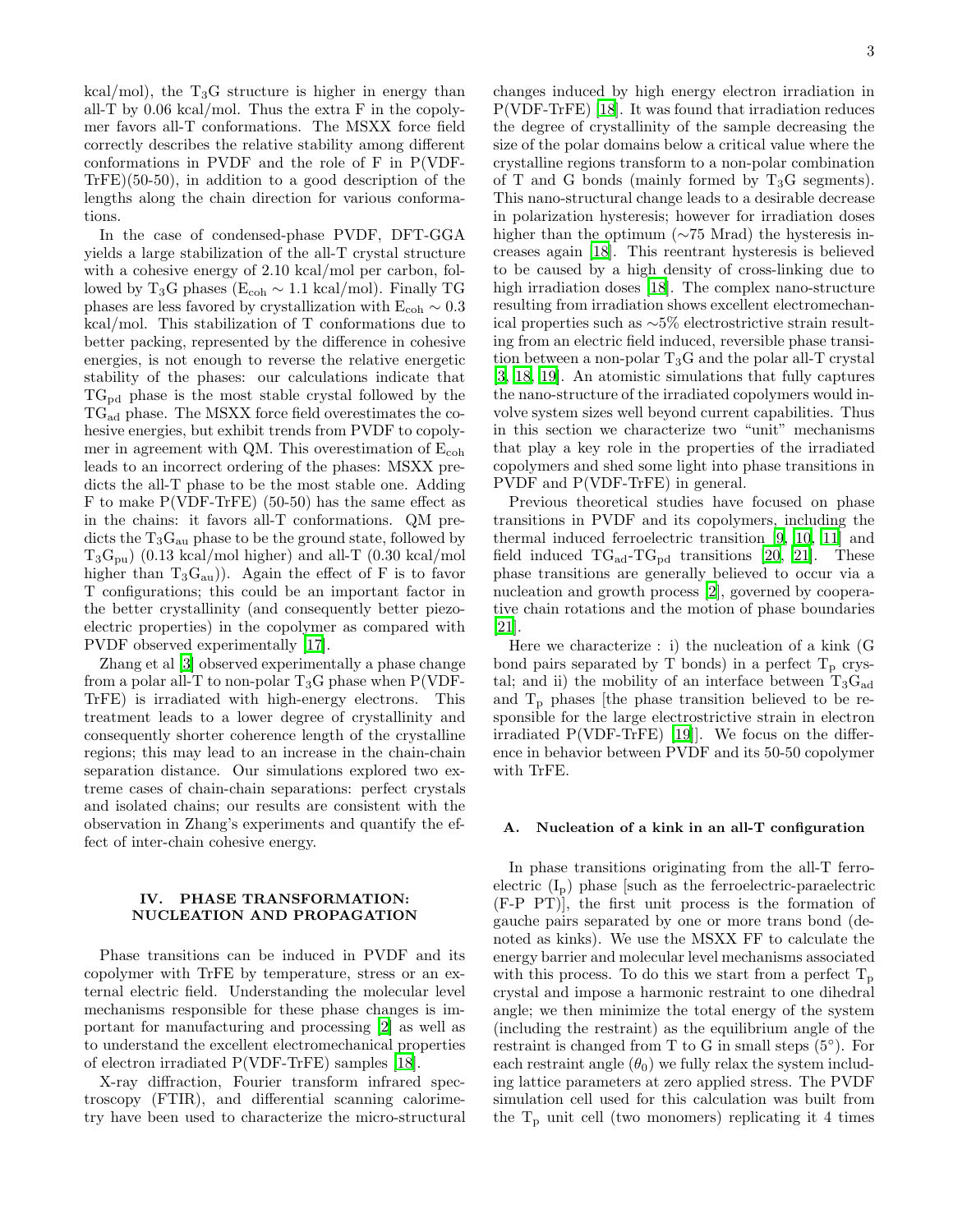kcal/mol), the  $T_3G$  structure is higher in energy than all-T by 0.06 kcal/mol. Thus the extra F in the copolymer favors all-T conformations. The MSXX force field correctly describes the relative stability among different conformations in PVDF and the role of F in P(VDF-TrFE)(50-50), in addition to a good description of the lengths along the chain direction for various conformations.

In the case of condensed-phase PVDF, DFT-GGA yields a large stabilization of the all-T crystal structure with a cohesive energy of 2.10 kcal/mol per carbon, followed by T<sub>3</sub>G phases ( $E_{coh}$  ∼ 1.1 kcal/mol). Finally TG phases are less favored by crystallization with  $E_{coh} \sim 0.3$ kcal/mol. This stabilization of T conformations due to better packing, represented by the difference in cohesive energies, is not enough to reverse the relative energetic stability of the phases: our calculations indicate that  $TG_{\rm pd}$  phase is the most stable crystal followed by the TGad phase. The MSXX force field overestimates the cohesive energies, but exhibit trends from PVDF to copolymer in agreement with QM. This overestimation of  $E_{coh}$ leads to an incorrect ordering of the phases: MSXX predicts the all-T phase to be the most stable one. Adding F to make P(VDF-TrFE) (50-50) has the same effect as in the chains: it favors all-T conformations. QM predicts the  $T_3G_{\text{au}}$  phase to be the ground state, followed by  $T_3G_{\text{pu}}$ ) (0.13 kcal/mol higher) and all-T (0.30 kcal/mol higher than  $T_3G_{\text{au}}$ ). Again the effect of F is to favor T configurations; this could be an important factor in the better crystallinity (and consequently better piezoelectric properties) in the copolymer as compared with PVDF observed experimentally [\[17\]](#page-5-16).

Zhang et al [\[3\]](#page-5-2) observed experimentally a phase change from a polar all-T to non-polar  $T_3G$  phase when P(VDF-TrFE) is irradiated with high-energy electrons. This treatment leads to a lower degree of crystallinity and consequently shorter coherence length of the crystalline regions; this may lead to an increase in the chain-chain separation distance. Our simulations explored two extreme cases of chain-chain separations: perfect crystals and isolated chains; our results are consistent with the observation in Zhang's experiments and quantify the effect of inter-chain cohesive energy.

# IV. PHASE TRANSFORMATION: NUCLEATION AND PROPAGATION

Phase transitions can be induced in PVDF and its copolymer with TrFE by temperature, stress or an external electric field. Understanding the molecular level mechanisms responsible for these phase changes is important for manufacturing and processing [\[2\]](#page-5-1) as well as to understand the excellent electromechanical properties of electron irradiated P(VDF-TrFE) samples [\[18](#page-5-17)].

X-ray diffraction, Fourier transform infrared spectroscopy (FTIR), and differential scanning calorimetry have been used to characterize the micro-structural changes induced by high energy electron irradiation in P(VDF-TrFE) [\[18](#page-5-17)]. It was found that irradiation reduces the degree of crystallinity of the sample decreasing the size of the polar domains below a critical value where the crystalline regions transform to a non-polar combination of T and G bonds (mainly formed by  $T_3G$  segments). This nano-structural change leads to a desirable decrease in polarization hysteresis; however for irradiation doses higher than the optimum (∼75 Mrad) the hysteresis increases again [\[18](#page-5-17)]. This reentrant hysteresis is believed to be caused by a high density of cross-linking due to high irradiation doses [\[18\]](#page-5-17). The complex nano-structure resulting from irradiation shows excellent electromechanical properties such as ∼5% electrostrictive strain resulting from an electric field induced, reversible phase transition between a non-polar  $T_3G$  and the polar all-T crystal [\[3,](#page-5-2) [18](#page-5-17), [19\]](#page-5-18). An atomistic simulations that fully captures the nano-structure of the irradiated copolymers would involve system sizes well beyond current capabilities. Thus in this section we characterize two "unit" mechanisms that play a key role in the properties of the irradiated copolymers and shed some light into phase transitions in PVDF and P(VDF-TrFE) in general.

Previous theoretical studies have focused on phase transitions in PVDF and its copolymers, including the thermal induced ferroelectric transition [\[9,](#page-5-8) [10](#page-5-9), [11\]](#page-5-10) and field induced  $TG_{\text{ad}}-TG_{\text{pd}}$  transitions [\[20,](#page-5-19) [21](#page-5-20)]. These phase transitions are generally believed to occur via a nucleation and growth process [\[2](#page-5-1)], governed by cooperative chain rotations and the motion of phase boundaries [\[21\]](#page-5-20).

Here we characterize : i) the nucleation of a kink (G bond pairs separated by T bonds) in a perfect  $T_p$  crystal; and ii) the mobility of an interface between  $T_3G_{ad}$ and  $T_p$  phases [the phase transition believed to be responsible for the large electrostrictive strain in electron irradiated P(VDF-TrFE) [\[19\]](#page-5-18)]. We focus on the difference in behavior between PVDF and its 50-50 copolymer with TrFE.

# A. Nucleation of a kink in an all-T configuration

In phase transitions originating from the all-T ferroelectric  $(I_p)$  phase such as the ferroelectric-paraelectric (F-P PT)], the first unit process is the formation of gauche pairs separated by one or more trans bond (denoted as kinks). We use the MSXX FF to calculate the energy barrier and molecular level mechanisms associated with this process. To do this we start from a perfect  $T_p$ crystal and impose a harmonic restraint to one dihedral angle; we then minimize the total energy of the system (including the restraint) as the equilibrium angle of the restraint is changed from T to G in small steps  $(5^{\circ})$ . For each restraint angle  $(\theta_0)$  we fully relax the system including lattice parameters at zero applied stress. The PVDF simulation cell used for this calculation was built from the  $T_p$  unit cell (two monomers) replicating it 4 times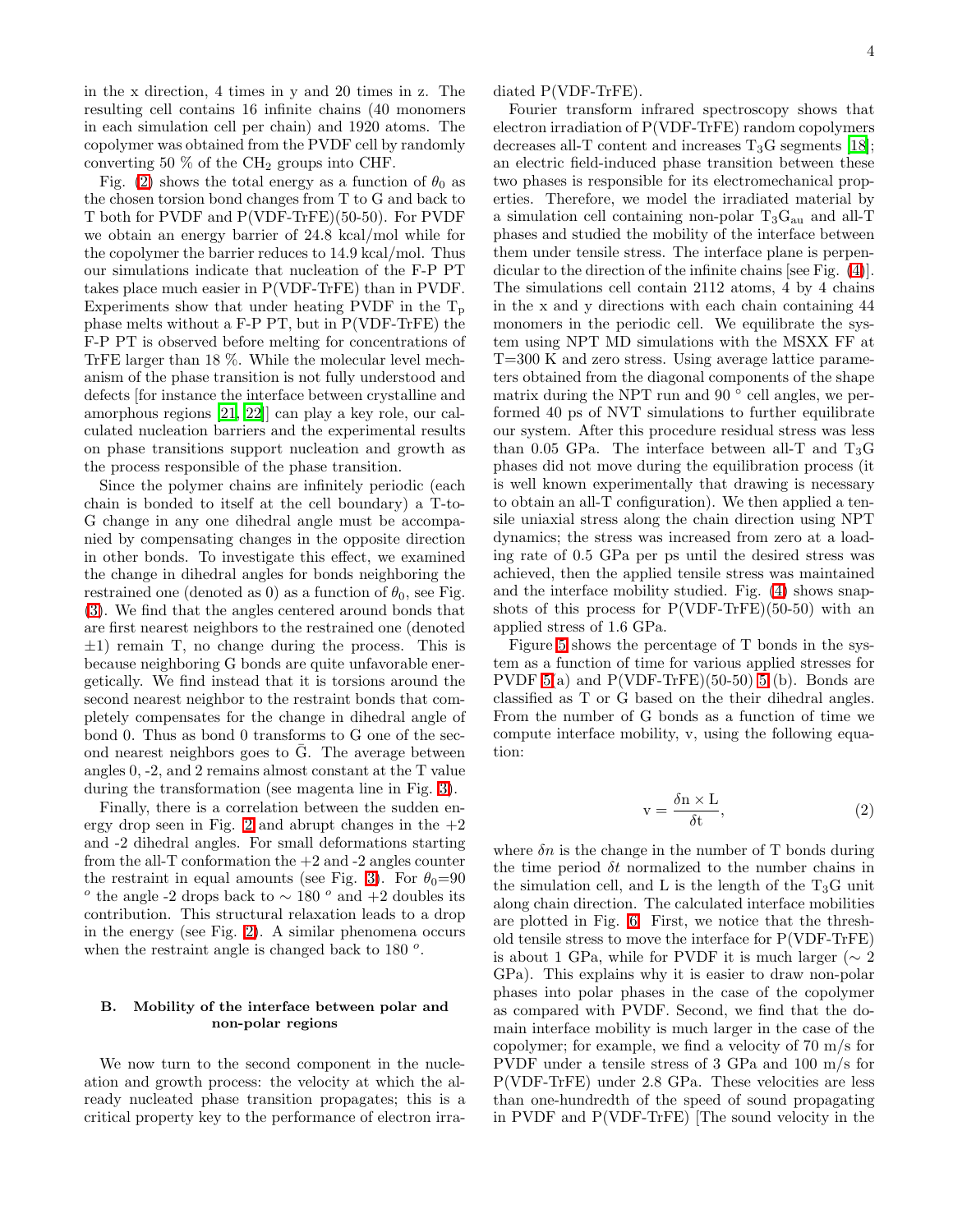in the x direction, 4 times in y and 20 times in z. The resulting cell contains 16 infinite chains (40 monomers in each simulation cell per chain) and 1920 atoms. The copolymer was obtained from the PVDF cell by randomly converting 50  $\%$  of the CH<sub>2</sub> groups into CHF.

Fig. [\(2\)](#page-7-0) shows the total energy as a function of  $\theta_0$  as the chosen torsion bond changes from T to G and back to T both for PVDF and P(VDF-TrFE)(50-50). For PVDF we obtain an energy barrier of 24.8 kcal/mol while for the copolymer the barrier reduces to 14.9 kcal/mol. Thus our simulations indicate that nucleation of the F-P PT takes place much easier in P(VDF-TrFE) than in PVDF. Experiments show that under heating PVDF in the  $T_p$ phase melts without a F-P PT, but in P(VDF-TrFE) the F-P PT is observed before melting for concentrations of TrFE larger than 18 %. While the molecular level mechanism of the phase transition is not fully understood and defects [for instance the interface between crystalline and amorphous regions [\[21,](#page-5-20) [22\]](#page-5-21)] can play a key role, our calculated nucleation barriers and the experimental results on phase transitions support nucleation and growth as the process responsible of the phase transition.

Since the polymer chains are infinitely periodic (each chain is bonded to itself at the cell boundary) a T-to-G change in any one dihedral angle must be accompanied by compensating changes in the opposite direction in other bonds. To investigate this effect, we examined the change in dihedral angles for bonds neighboring the restrained one (denoted as 0) as a function of  $\theta_0$ , see Fig. [\(3\)](#page-8-0). We find that the angles centered around bonds that are first nearest neighbors to the restrained one (denoted  $\pm 1$ ) remain T, no change during the process. This is because neighboring G bonds are quite unfavorable energetically. We find instead that it is torsions around the second nearest neighbor to the restraint bonds that completely compensates for the change in dihedral angle of bond 0. Thus as bond 0 transforms to G one of the second nearest neighbors goes to  $\bar{G}$ . The average between angles 0, -2, and 2 remains almost constant at the T value during the transformation (see magenta line in Fig. [3\)](#page-8-0).

Finally, there is a correlation between the sudden en-ergy drop seen in Fig. [2](#page-7-0) and abrupt changes in the  $+2$ and -2 dihedral angles. For small deformations starting from the all- $T$  conformation the  $+2$  and  $-2$  angles counter the restraint in equal amounts (see Fig. [3\)](#page-8-0). For  $\theta_0=90$  $\degree$  the angle -2 drops back to  $\sim$  180  $\degree$  and +2 doubles its contribution. This structural relaxation leads to a drop in the energy (see Fig. [2\)](#page-7-0). A similar phenomena occurs when the restraint angle is changed back to 180 $^{\circ}$ .

# B. Mobility of the interface between polar and non-polar regions

We now turn to the second component in the nucleation and growth process: the velocity at which the already nucleated phase transition propagates; this is a critical property key to the performance of electron irradiated P(VDF-TrFE).

Fourier transform infrared spectroscopy shows that electron irradiation of P(VDF-TrFE) random copolymers decreases all-T content and increases  $T_3G$  segments [\[18\]](#page-5-17); an electric field-induced phase transition between these two phases is responsible for its electromechanical properties. Therefore, we model the irradiated material by a simulation cell containing non-polar  $T_3G_{\text{au}}$  and all-T phases and studied the mobility of the interface between them under tensile stress. The interface plane is perpendicular to the direction of the infinite chains [see Fig. [\(4\)](#page-9-0)]. The simulations cell contain 2112 atoms, 4 by 4 chains in the x and y directions with each chain containing 44 monomers in the periodic cell. We equilibrate the system using NPT MD simulations with the MSXX FF at T=300 K and zero stress. Using average lattice parameters obtained from the diagonal components of the shape matrix during the NPT run and 90 $\degree$  cell angles, we performed 40 ps of NVT simulations to further equilibrate our system. After this procedure residual stress was less than 0.05 GPa. The interface between all-T and  $T_3G$ phases did not move during the equilibration process (it is well known experimentally that drawing is necessary to obtain an all-T configuration). We then applied a tensile uniaxial stress along the chain direction using NPT dynamics; the stress was increased from zero at a loading rate of 0.5 GPa per ps until the desired stress was achieved, then the applied tensile stress was maintained and the interface mobility studied. Fig. [\(4\)](#page-9-0) shows snapshots of this process for  $P(VDF-TFE)(50-50)$  with an applied stress of 1.6 GPa.

Figure [5](#page-9-1) shows the percentage of T bonds in the system as a function of time for various applied stresses for PVDF  $5(a)$  and  $P(VDF-TrFE)(50-50)$  [5](#page-9-1) (b). Bonds are classified as T or G based on the their dihedral angles. From the number of G bonds as a function of time we compute interface mobility, v, using the following equation:

$$
v = \frac{\delta n \times L}{\delta t},\tag{2}
$$

where  $\delta n$  is the change in the number of T bonds during the time period  $\delta t$  normalized to the number chains in the simulation cell, and L is the length of the  $T_3G$  unit along chain direction. The calculated interface mobilities are plotted in Fig. [6.](#page-10-0) First, we notice that the threshold tensile stress to move the interface for P(VDF-TrFE) is about 1 GPa, while for PVDF it is much larger ( $\sim 2$ GPa). This explains why it is easier to draw non-polar phases into polar phases in the case of the copolymer as compared with PVDF. Second, we find that the domain interface mobility is much larger in the case of the copolymer; for example, we find a velocity of 70 m/s for PVDF under a tensile stress of 3 GPa and 100 m/s for P(VDF-TrFE) under 2.8 GPa. These velocities are less than one-hundredth of the speed of sound propagating in PVDF and P(VDF-TrFE) [The sound velocity in the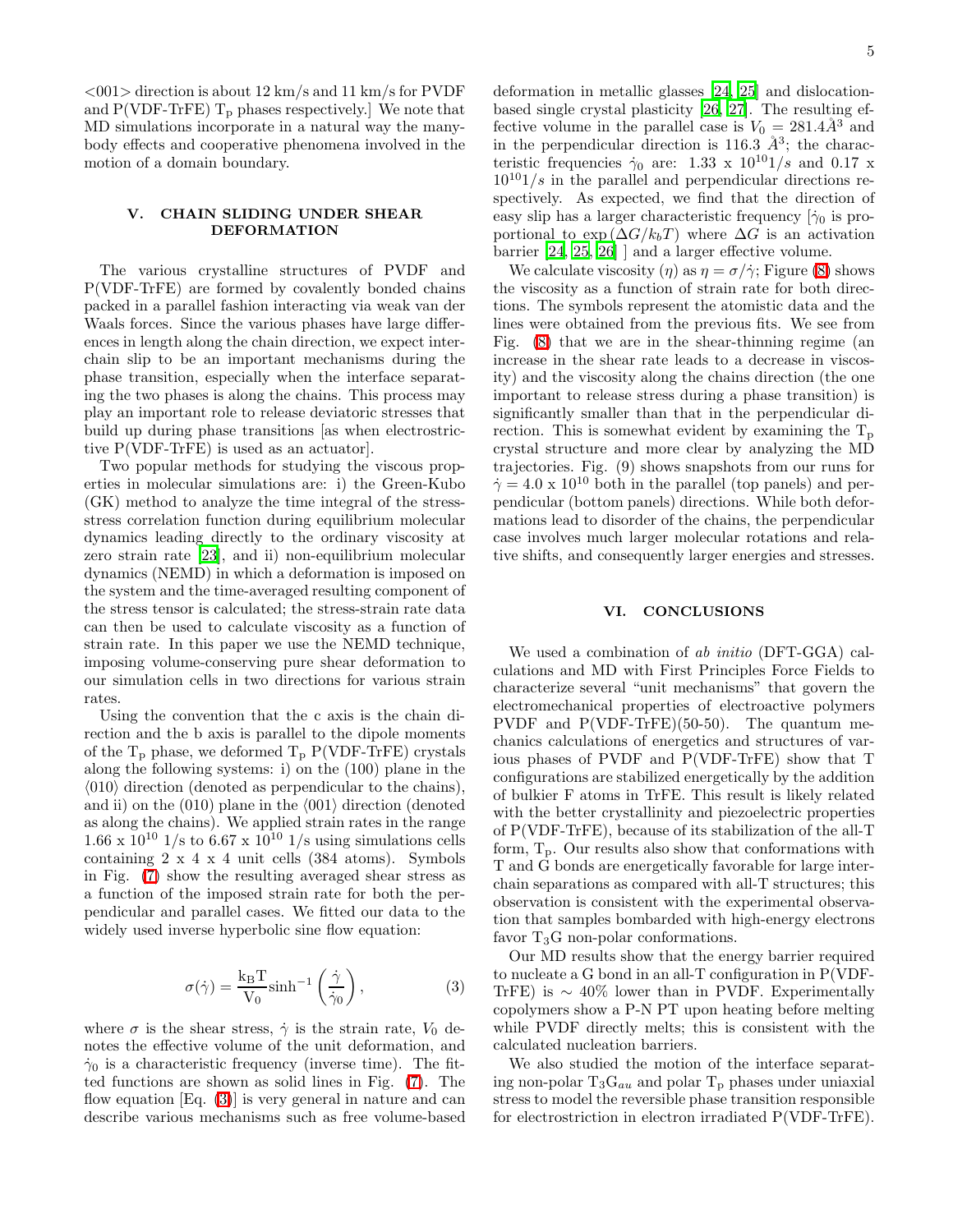$<$ 001> direction is about 12 km/s and 11 km/s for PVDF and  $P(VDF-TrFE)$   $T_p$  phases respectively.] We note that MD simulations incorporate in a natural way the manybody effects and cooperative phenomena involved in the motion of a domain boundary.

## V. CHAIN SLIDING UNDER SHEAR DEFORMATION

The various crystalline structures of PVDF and P(VDF-TrFE) are formed by covalently bonded chains packed in a parallel fashion interacting via weak van der Waals forces. Since the various phases have large differences in length along the chain direction, we expect interchain slip to be an important mechanisms during the phase transition, especially when the interface separating the two phases is along the chains. This process may play an important role to release deviatoric stresses that build up during phase transitions [as when electrostrictive P(VDF-TrFE) is used as an actuator].

Two popular methods for studying the viscous properties in molecular simulations are: i) the Green-Kubo (GK) method to analyze the time integral of the stressstress correlation function during equilibrium molecular dynamics leading directly to the ordinary viscosity at zero strain rate [\[23\]](#page-5-22), and ii) non-equilibrium molecular dynamics (NEMD) in which a deformation is imposed on the system and the time-averaged resulting component of the stress tensor is calculated; the stress-strain rate data can then be used to calculate viscosity as a function of strain rate. In this paper we use the NEMD technique, imposing volume-conserving pure shear deformation to our simulation cells in two directions for various strain rates.

Using the convention that the c axis is the chain direction and the b axis is parallel to the dipole moments of the  $T_p$  phase, we deformed  $T_p$  P(VDF-TrFE) crystals along the following systems: i) on the (100) plane in the  $\langle 010 \rangle$  direction (denoted as perpendicular to the chains), and ii) on the  $(010)$  plane in the  $\langle 001 \rangle$  direction (denoted as along the chains). We applied strain rates in the range  $1.66 \times 10^{10}$  1/s to 6.67 x 10<sup>10</sup> 1/s using simulations cells containing 2 x 4 x 4 unit cells (384 atoms). Symbols in Fig. [\(7\)](#page-11-0) show the resulting averaged shear stress as a function of the imposed strain rate for both the perpendicular and parallel cases. We fitted our data to the widely used inverse hyperbolic sine flow equation:

$$
\sigma(\dot{\gamma}) = \frac{k_B T}{V_0} \sinh^{-1} \left(\frac{\dot{\gamma}}{\dot{\gamma}_0}\right),\tag{3}
$$

<span id="page-4-0"></span>where  $\sigma$  is the shear stress,  $\dot{\gamma}$  is the strain rate,  $V_0$  denotes the effective volume of the unit deformation, and  $\dot{\gamma}_0$  is a characteristic frequency (inverse time). The fitted functions are shown as solid lines in Fig. [\(7\)](#page-11-0). The flow equation  $[Eq. (3)]$  $[Eq. (3)]$  $[Eq. (3)]$  is very general in nature and can describe various mechanisms such as free volume-based deformation in metallic glasses [\[24,](#page-5-23) [25\]](#page-5-24) and dislocationbased single crystal plasticity [\[26,](#page-5-25) [27\]](#page-5-26). The resulting effective volume in the parallel case is  $V_0 = 281.4\AA^3$  and in the perpendicular direction is 116.3  $\AA^3$ ; the characteristic frequencies  $\dot{\gamma}_0$  are: 1.33 x  $10^{10}1/s$  and 0.17 x  $10^{10}$ 1/s in the parallel and perpendicular directions respectively. As expected, we find that the direction of easy slip has a larger characteristic frequency  $\dot{\gamma}_0$  is proportional to  $\exp(\Delta G / k_b T)$  where  $\Delta G$  is an activation barrier [\[24,](#page-5-23) [25,](#page-5-24) [26\]](#page-5-25) ] and a larger effective volume.

We calculate viscosity  $(\eta)$  as  $\eta = \sigma/\dot{\gamma}$ ; Figure [\(8\)](#page-12-0) shows the viscosity as a function of strain rate for both directions. The symbols represent the atomistic data and the lines were obtained from the previous fits. We see from Fig. [\(8\)](#page-12-0) that we are in the shear-thinning regime (an increase in the shear rate leads to a decrease in viscosity) and the viscosity along the chains direction (the one important to release stress during a phase transition) is significantly smaller than that in the perpendicular direction. This is somewhat evident by examining the  $T_p$ crystal structure and more clear by analyzing the MD trajectories. Fig. (9) shows snapshots from our runs for  $\dot{\gamma} = 4.0 \times 10^{10}$  both in the parallel (top panels) and perpendicular (bottom panels) directions. While both deformations lead to disorder of the chains, the perpendicular case involves much larger molecular rotations and relative shifts, and consequently larger energies and stresses.

### VI. CONCLUSIONS

We used a combination of ab *initio* (DFT-GGA) calculations and MD with First Principles Force Fields to characterize several "unit mechanisms" that govern the electromechanical properties of electroactive polymers PVDF and P(VDF-TrFE)(50-50). The quantum mechanics calculations of energetics and structures of various phases of PVDF and P(VDF-TrFE) show that T configurations are stabilized energetically by the addition of bulkier F atoms in TrFE. This result is likely related with the better crystallinity and piezoelectric properties of P(VDF-TrFE), because of its stabilization of the all-T form,  $T_p$ . Our results also show that conformations with T and G bonds are energetically favorable for large interchain separations as compared with all-T structures; this observation is consistent with the experimental observation that samples bombarded with high-energy electrons favor  $T_3G$  non-polar conformations.

Our MD results show that the energy barrier required to nucleate a G bond in an all-T configuration in P(VDF-TrFE) is  $\sim 40\%$  lower than in PVDF. Experimentally copolymers show a P-N PT upon heating before melting while PVDF directly melts; this is consistent with the calculated nucleation barriers.

We also studied the motion of the interface separating non-polar  $T_3G_{au}$  and polar  $T_p$  phases under uniaxial stress to model the reversible phase transition responsible for electrostriction in electron irradiated P(VDF-TrFE).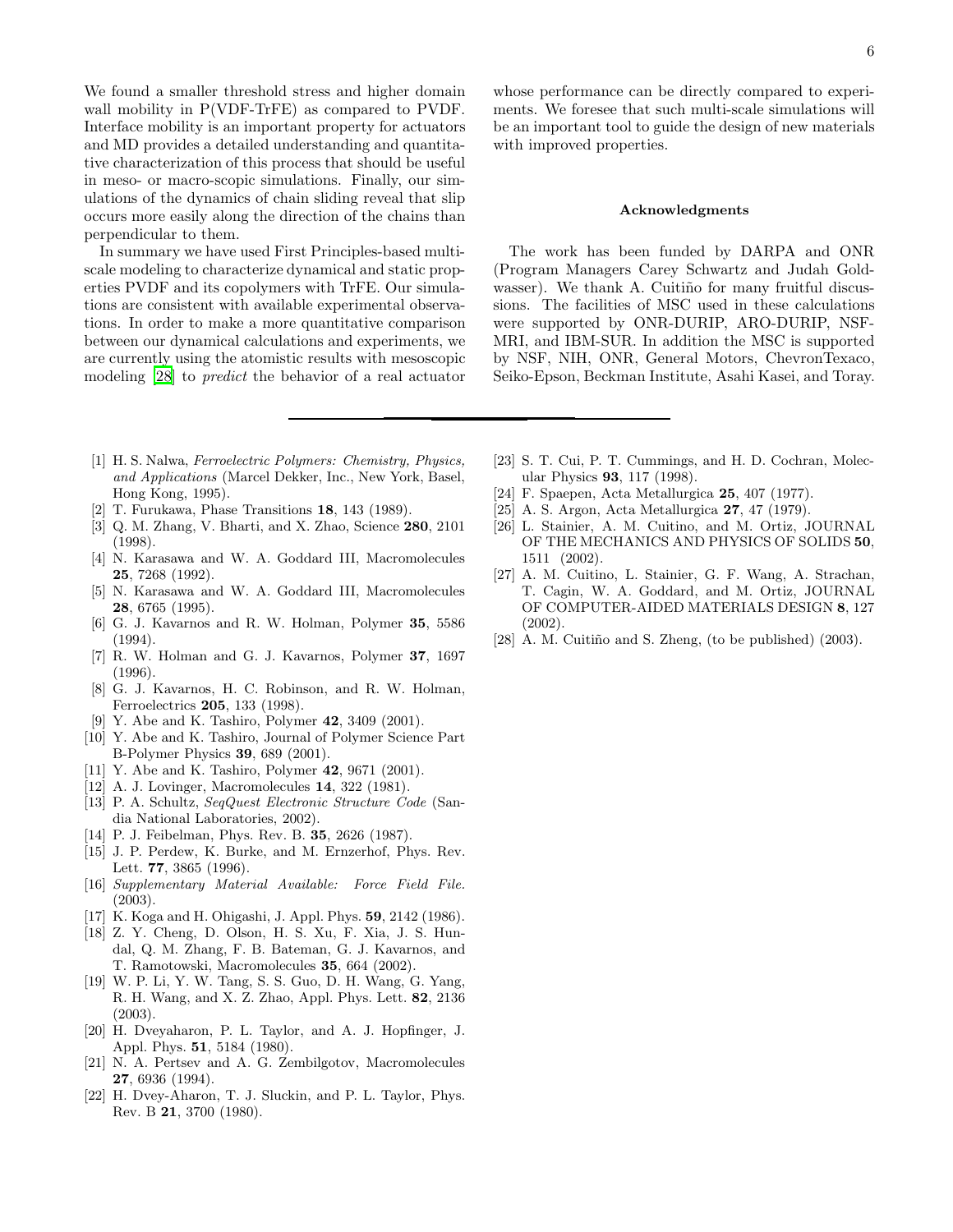We found a smaller threshold stress and higher domain wall mobility in P(VDF-TrFE) as compared to PVDF. Interface mobility is an important property for actuators and MD provides a detailed understanding and quantitative characterization of this process that should be useful in meso- or macro-scopic simulations. Finally, our simulations of the dynamics of chain sliding reveal that slip occurs more easily along the direction of the chains than perpendicular to them.

In summary we have used First Principles-based multiscale modeling to characterize dynamical and static properties PVDF and its copolymers with TrFE. Our simulations are consistent with available experimental observations. In order to make a more quantitative comparison between our dynamical calculations and experiments, we are currently using the atomistic results with mesoscopic modeling [\[28](#page-5-27)] to predict the behavior of a real actuator

- <span id="page-5-0"></span>[1] H. S. Nalwa, *Ferroelectric Polymers: Chemistry, Physics, and Applications* (Marcel Dekker, Inc., New York, Basel, Hong Kong, 1995).
- <span id="page-5-1"></span>[2] T. Furukawa, Phase Transitions 18, 143 (1989).
- <span id="page-5-2"></span>[3] Q. M. Zhang, V. Bharti, and X. Zhao, Science 280, 2101 (1998).
- <span id="page-5-3"></span>[4] N. Karasawa and W. A. Goddard III, Macromolecules 25, 7268 (1992).
- <span id="page-5-4"></span>[5] N. Karasawa and W. A. Goddard III, Macromolecules 28, 6765 (1995).
- <span id="page-5-5"></span>[6] G. J. Kavarnos and R. W. Holman, Polymer 35, 5586  $(1994)$ .
- <span id="page-5-6"></span>[7] R. W. Holman and G. J. Kavarnos, Polymer 37, 1697 (1996).
- <span id="page-5-7"></span>[8] G. J. Kavarnos, H. C. Robinson, and R. W. Holman, Ferroelectrics 205, 133 (1998).
- [9] Y. Abe and K. Tashiro, Polymer 42, 3409 (2001).
- <span id="page-5-9"></span><span id="page-5-8"></span>[10] Y. Abe and K. Tashiro, Journal of Polymer Science Part B-Polymer Physics 39, 689 (2001).
- <span id="page-5-10"></span>[11] Y. Abe and K. Tashiro, Polymer 42, 9671 (2001).
- <span id="page-5-11"></span>[12] A. J. Lovinger, Macromolecules 14, 322 (1981).
- <span id="page-5-12"></span>[13] P. A. Schultz, *SeqQuest Electronic Structure Code* (Sandia National Laboratories, 2002).
- <span id="page-5-13"></span>[14] P. J. Feibelman, Phys. Rev. B. 35, 2626 (1987).
- <span id="page-5-14"></span>[15] J. P. Perdew, K. Burke, and M. Ernzerhof, Phys. Rev. Lett. 77, 3865 (1996).
- <span id="page-5-15"></span>[16] *Supplementary Material Available: Force Field File.* (2003).
- <span id="page-5-16"></span>[17] K. Koga and H. Ohigashi, J. Appl. Phys. 59, 2142 (1986).
- <span id="page-5-17"></span>[18] Z. Y. Cheng, D. Olson, H. S. Xu, F. Xia, J. S. Hundal, Q. M. Zhang, F. B. Bateman, G. J. Kavarnos, and T. Ramotowski, Macromolecules 35, 664 (2002).
- <span id="page-5-18"></span>[19] W. P. Li, Y. W. Tang, S. S. Guo, D. H. Wang, G. Yang, R. H. Wang, and X. Z. Zhao, Appl. Phys. Lett. 82, 2136 (2003).
- <span id="page-5-19"></span>[20] H. Dveyaharon, P. L. Taylor, and A. J. Hopfinger, J. Appl. Phys. 51, 5184 (1980).
- <span id="page-5-20"></span>[21] N. A. Pertsev and A. G. Zembilgotov, Macromolecules 27, 6936 (1994).
- <span id="page-5-21"></span>[22] H. Dvey-Aharon, T. J. Sluckin, and P. L. Taylor, Phys. Rev. B 21, 3700 (1980).

whose performance can be directly compared to experiments. We foresee that such multi-scale simulations will be an important tool to guide the design of new materials with improved properties.

#### Acknowledgments

The work has been funded by DARPA and ONR (Program Managers Carey Schwartz and Judah Goldwasser). We thank A. Cuitiño for many fruitful discussions. The facilities of MSC used in these calculations were supported by ONR-DURIP, ARO-DURIP, NSF-MRI, and IBM-SUR. In addition the MSC is supported by NSF, NIH, ONR, General Motors, ChevronTexaco, Seiko-Epson, Beckman Institute, Asahi Kasei, and Toray.

- <span id="page-5-22"></span>[23] S. T. Cui, P. T. Cummings, and H. D. Cochran, Molecular Physics 93, 117 (1998).
- <span id="page-5-23"></span>[24] F. Spaepen, Acta Metallurgica 25, 407 (1977).
- <span id="page-5-24"></span>[25] A. S. Argon, Acta Metallurgica 27, 47 (1979).
- <span id="page-5-25"></span>[26] L. Stainier, A. M. Cuitino, and M. Ortiz, JOURNAL OF THE MECHANICS AND PHYSICS OF SOLIDS 50, 1511 (2002).
- <span id="page-5-26"></span>[27] A. M. Cuitino, L. Stainier, G. F. Wang, A. Strachan, T. Cagin, W. A. Goddard, and M. Ortiz, JOURNAL OF COMPUTER-AIDED MATERIALS DESIGN 8, 127 (2002).
- <span id="page-5-27"></span>[28] A. M. Cuitiño and S. Zheng, (to be published) (2003).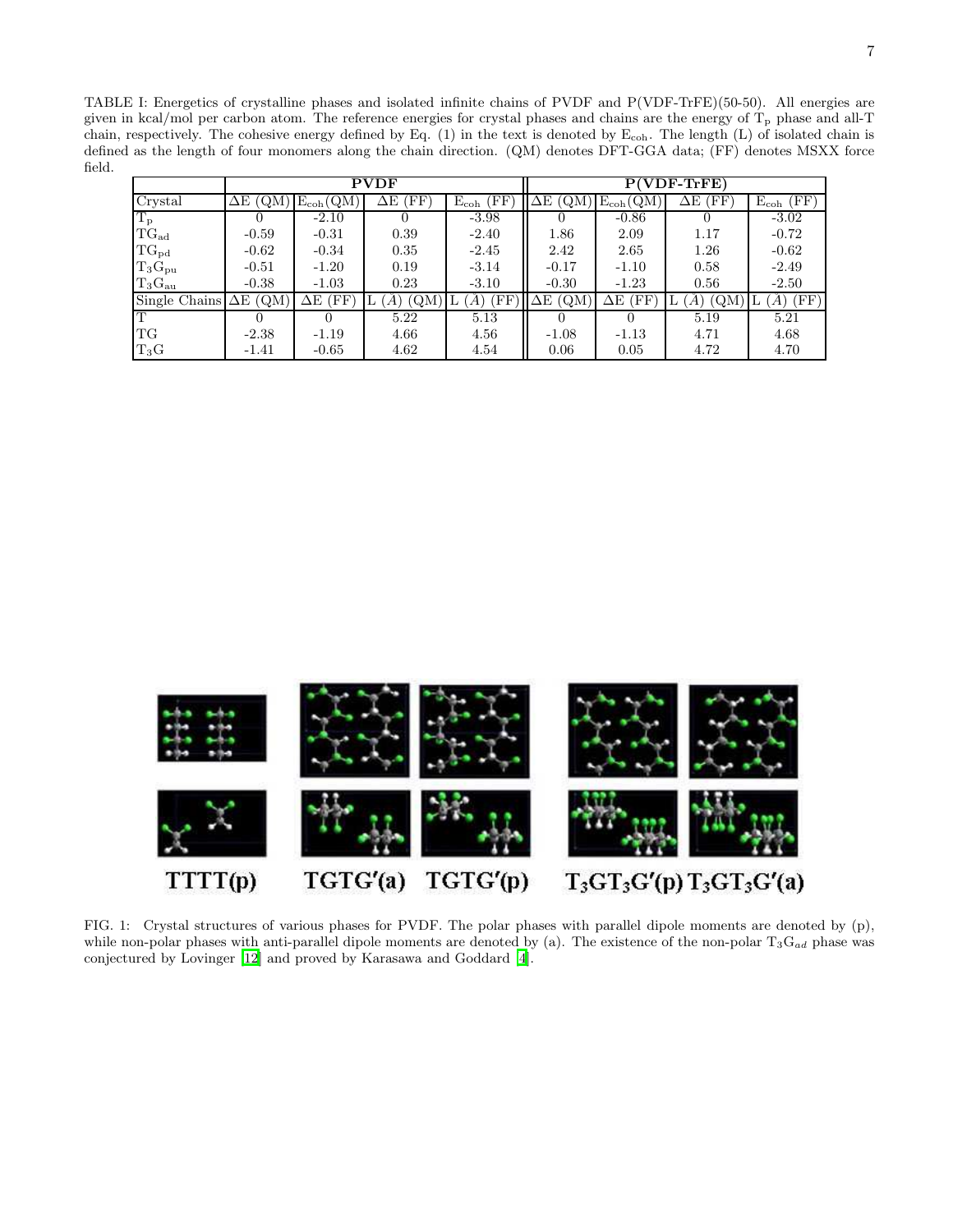<span id="page-6-1"></span>TABLE I: Energetics of crystalline phases and isolated infinite chains of PVDF and P(VDF-TrFE)(50-50). All energies are given in kcal/mol per carbon atom. The reference energies for crystal phases and chains are the energy of  $T_p$  phase and all-T chain, respectively. The cohesive energy defined by Eq. (1) in the text is denoted by Ecoh. The length (L) of isolated chain is defined as the length of four monomers along the chain direction. (QM) denotes DFT-GGA data; (FF) denotes MSXX force field.

|                 | <b>PVDF</b>        |               |           |                      | <b>VDF-TrFE)</b> |                   |            |                                    |
|-----------------|--------------------|---------------|-----------|----------------------|------------------|-------------------|------------|------------------------------------|
| Crystal         | ΔЕ<br>(QM          | $E_{coh}(QM)$ | ΈF΄<br>ΔЕ | (FF<br>$E_{\rm coh}$ | ΔЕ<br>ζQΜ        | $E_{\rm coh}(QM)$ | 'FF'<br>ΔЕ | $(\mathrm{FF})$<br>$E_{\rm coh}$ ( |
| $T_{\rm p}$     |                    | $-2.10$       |           | $-3.98$              |                  | $-0.86$           |            | $-3.02$                            |
| $TG_{ad}$       | $-0.59$            | $-0.31$       | 0.39      | $-2.40$              | 1.86             | 2.09              | 1.17       | $-0.72$                            |
| $TG_{pd}$       | $-0.62$            | $-0.34$       | 0.35      | $-2.45$              | 2.42             | 2.65              | 1.26       | $-0.62$                            |
| $T_3G_{\rm pu}$ | $-0.51$            | $-1.20$       | 0.19      | $-3.14$              | $-0.17$          | $-1.10$           | 0.58       | $-2.49$                            |
| $T_3G_{\rm au}$ | $-0.38$            | $-1.03$       | 0.23      | $-3.10$              | $-0.30$          | $-1.23$           | 0.56       | $-2.50$                            |
| Single Chains   | (QM)<br>$\Delta E$ | ΈF<br>ΔE      | (QM       | ΈF                   | ΄QΜ<br>ΔE        | ΈF<br>ΔЕ          | (QM)       | (FF)<br>A'                         |
|                 |                    |               | 5.22      | 5.13                 |                  |                   | 5.19       | 5.21                               |
| TG              | $-2.38$            | $-1.19$       | 4.66      | 4.56                 | $-1.08$          | $-1.13$           | 4.71       | 4.68                               |
| $T_3G$          | $-1.41$            | $-0.65$       | 4.62      | 4.54                 | 0.06             | 0.05              | 4.72       | 4.70                               |

<span id="page-6-0"></span>

FIG. 1: Crystal structures of various phases for PVDF. The polar phases with parallel dipole moments are denoted by (p), while non-polar phases with anti-parallel dipole moments are denoted by (a). The existence of the non-polar  $T_3G_{ad}$  phase was conjectured by Lovinger [\[12](#page-5-11)] and proved by Karasawa and Goddard [\[4](#page-5-3)].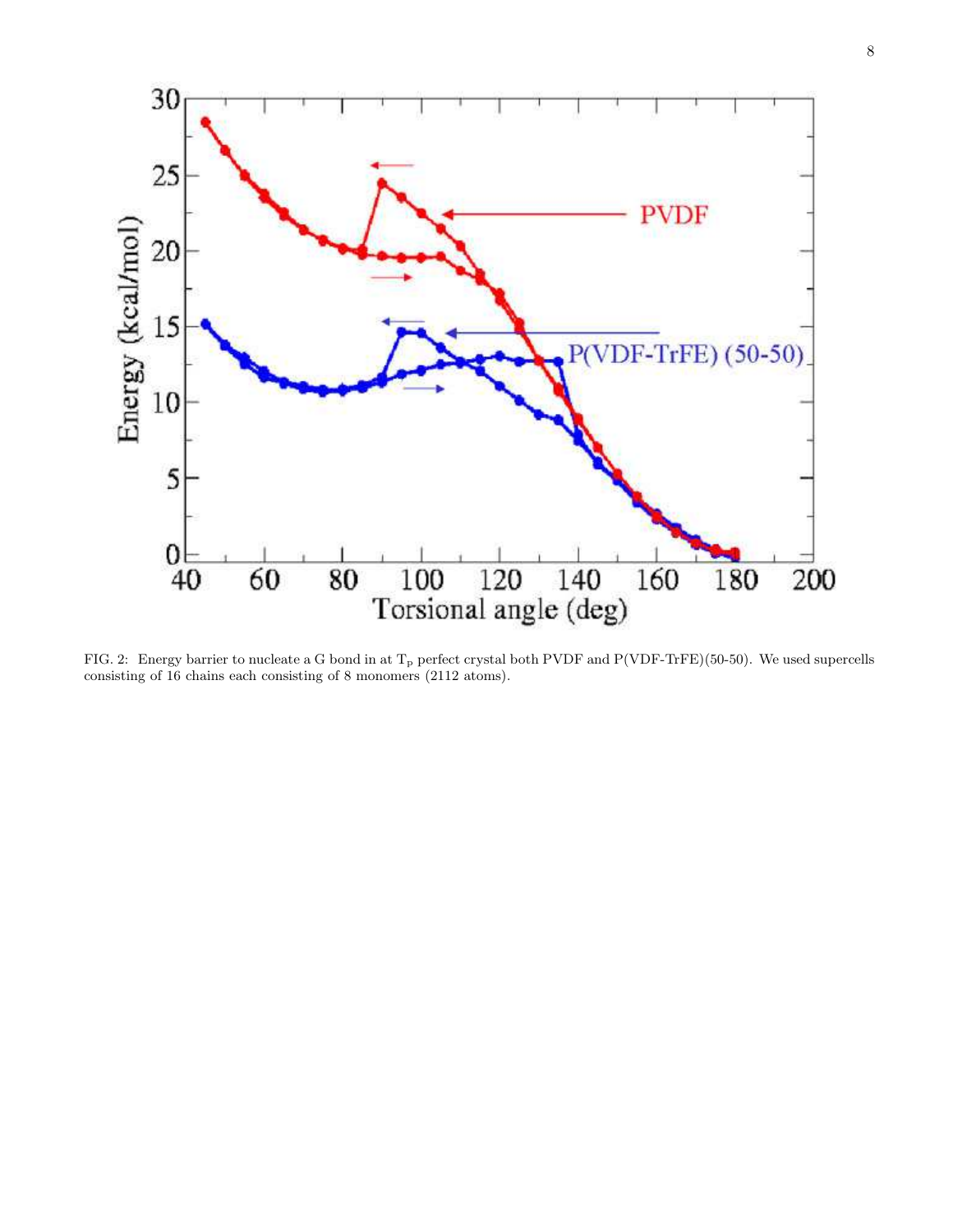

<span id="page-7-0"></span>FIG. 2: Energy barrier to nucleate a G bond in at  $T_p$  perfect crystal both PVDF and P(VDF-TrFE)(50-50). We used supercells consisting of 16 chains each consisting of 8 monomers (2112 atoms).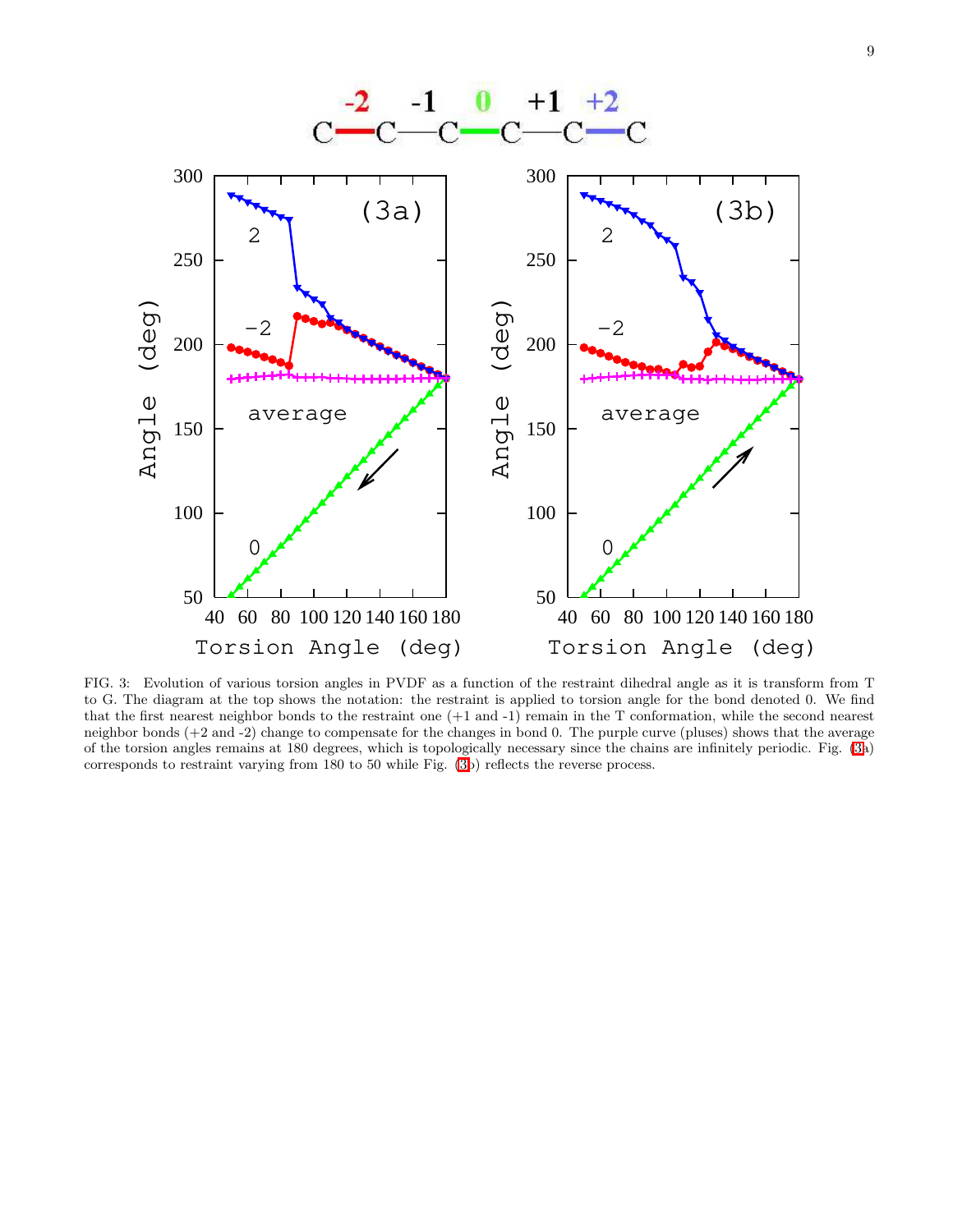

<span id="page-8-0"></span>FIG. 3: Evolution of various torsion angles in PVDF as a function of the restraint dihedral angle as it is transform from T to G. The diagram at the top shows the notation: the restraint is applied to torsion angle for the bond denoted 0. We find that the first nearest neighbor bonds to the restraint one (+1 and -1) remain in the T conformation, while the second nearest neighbor bonds (+2 and -2) change to compensate for the changes in bond 0. The purple curve (pluses) shows that the average of the torsion angles remains at 180 degrees, which is topologically necessary since the chains are infinitely periodic. Fig. [\(3a](#page-8-0)) corresponds to restraint varying from 180 to 50 while Fig. [\(3b](#page-8-0)) reflects the reverse process.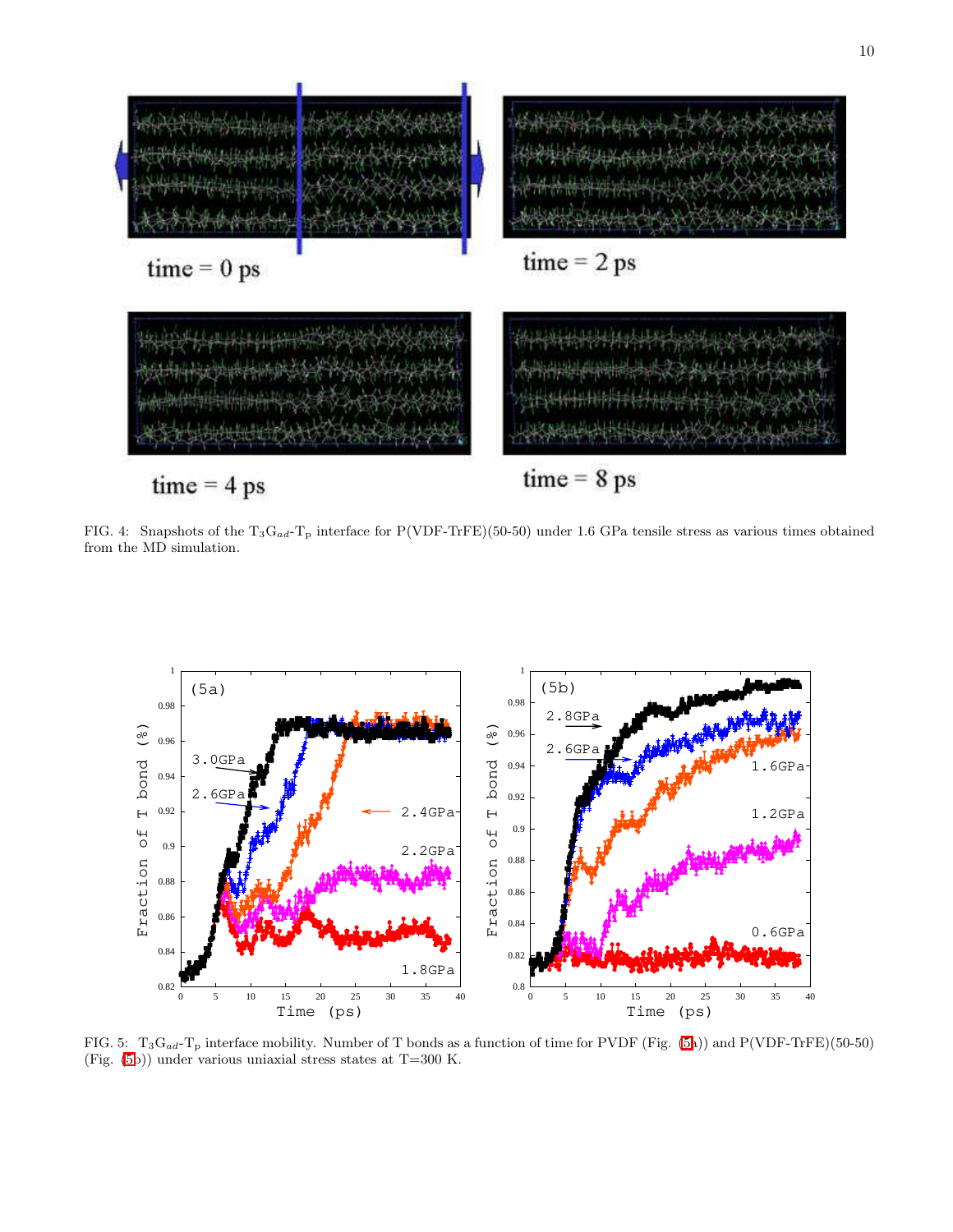

<span id="page-9-0"></span>FIG. 4: Snapshots of the  $T_3G_{ad}$ -T<sub>p</sub> interface for P(VDF-TrFE)(50-50) under 1.6 GPa tensile stress as various times obtained from the MD simulation.



<span id="page-9-1"></span>FIG. 5:  $T_3G_{ad} - T_p$  interface mobility. Number of T bonds as a function of time for PVDF (Fig. [\(5a](#page-9-1))) and P(VDF-TrFE)(50-50) (Fig. [\(5b](#page-9-1))) under various uniaxial stress states at T=300 K.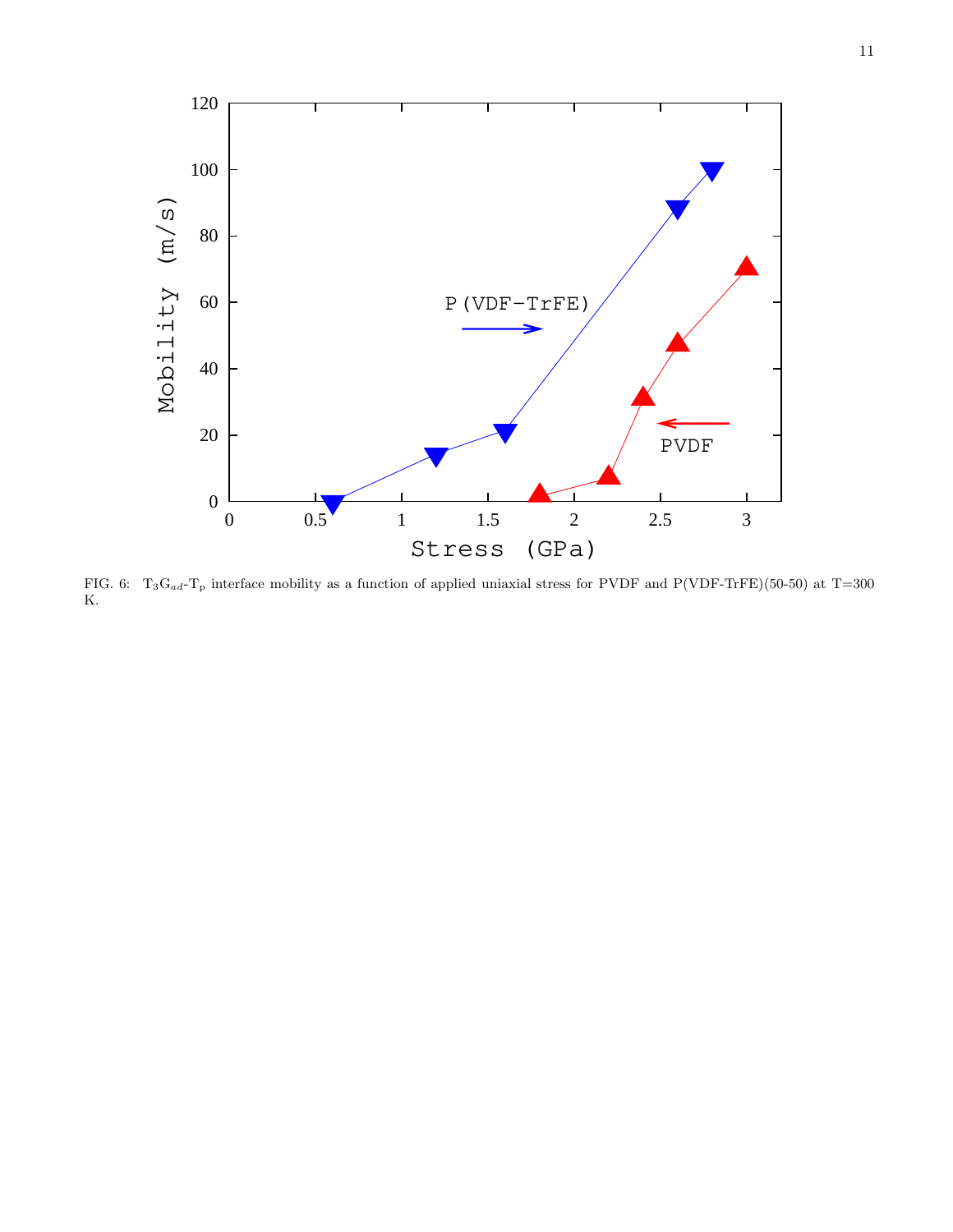

<span id="page-10-0"></span>FIG. 6:  $T_3G_{ad}$ -T<sub>p</sub> interface mobility as a function of applied uniaxial stress for PVDF and P(VDF-TrFE)(50-50) at T=300 K.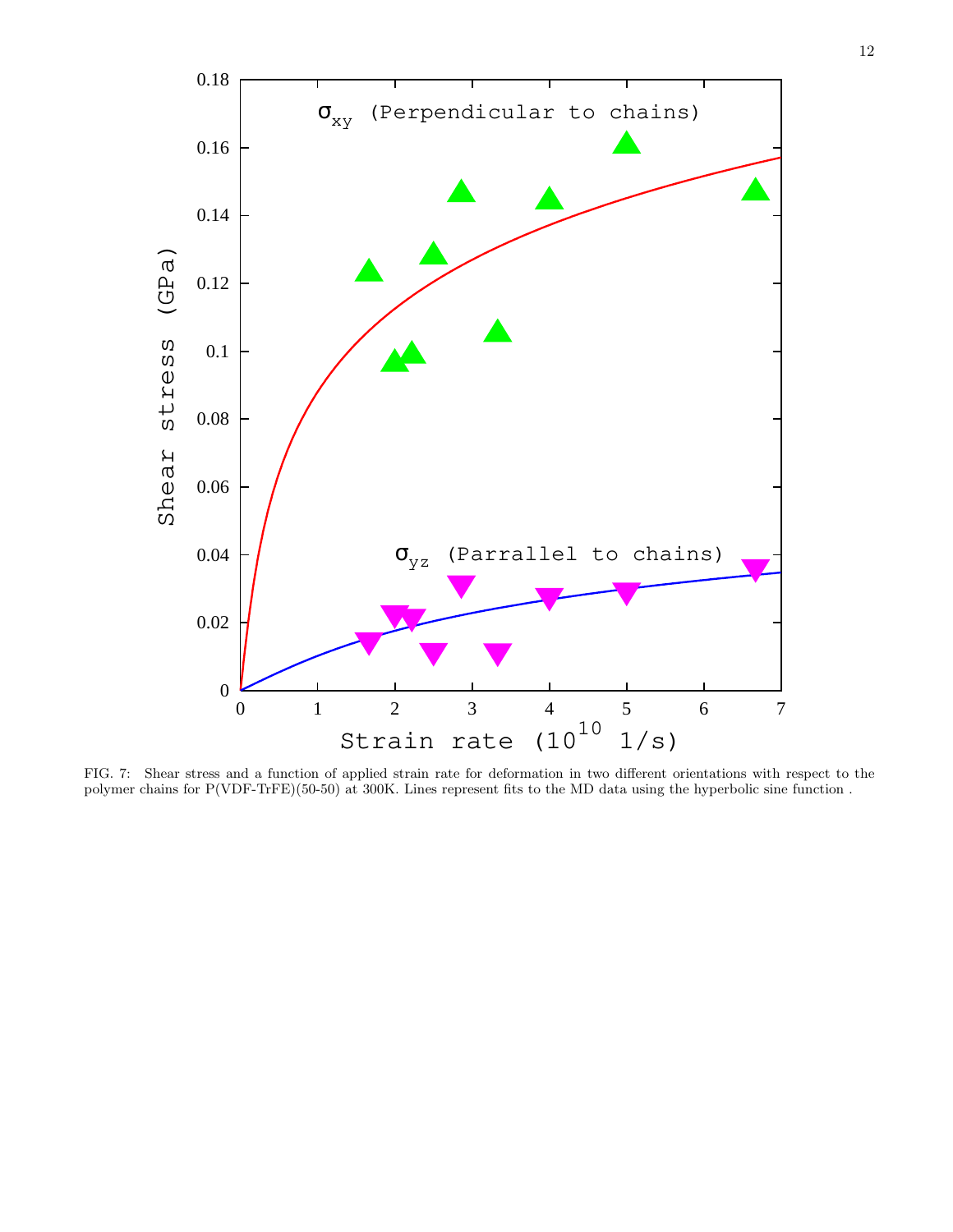

<span id="page-11-0"></span>FIG. 7: Shear stress and a function of applied strain rate for deformation in two different orientations with respect to the polymer chains for P(VDF-TrFE)(50-50) at 300K. Lines represent fits to the MD data using the hyperbolic sine function .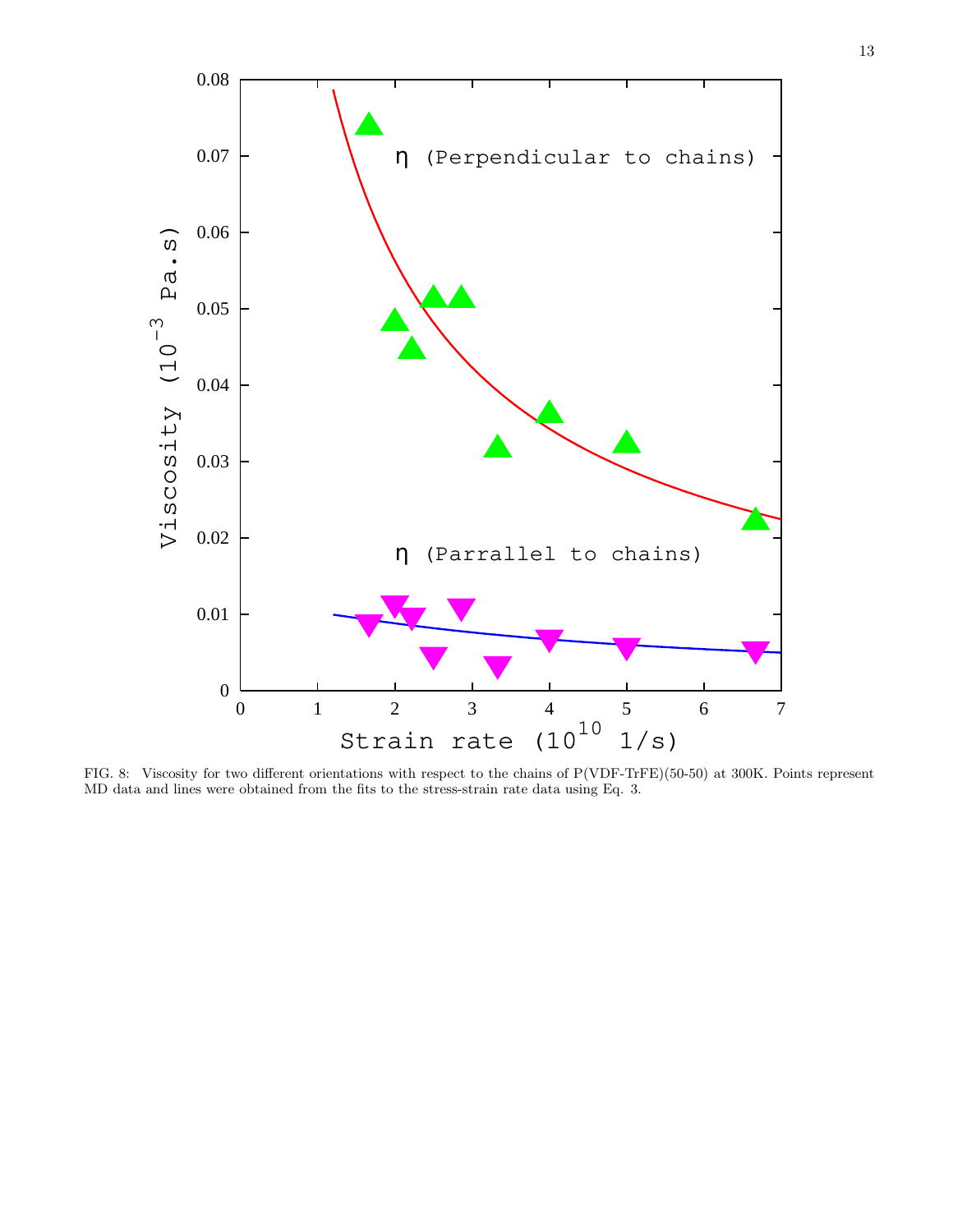

<span id="page-12-0"></span>FIG. 8: Viscosity for two different orientations with respect to the chains of P(VDF-TrFE)(50-50) at 300K. Points represent MD data and lines were obtained from the fits to the stress-strain rate data using Eq. 3.